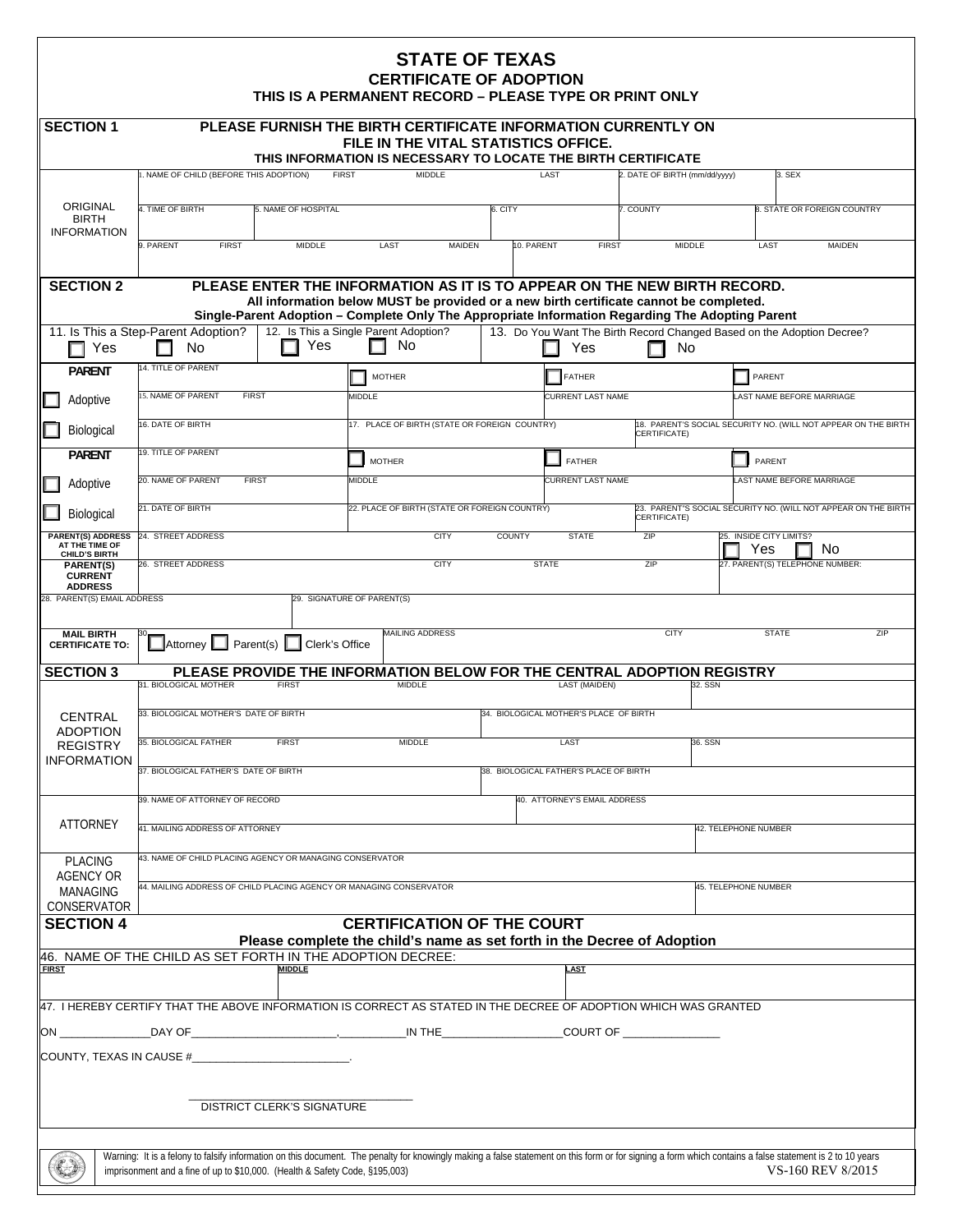| <b>STATE OF TEXAS</b><br><b>CERTIFICATE OF ADOPTION</b><br>THIS IS A PERMANENT RECORD - PLEASE TYPE OR PRINT ONLY                                                                          |                                                                             |               |                                                                                                                                                                                                          |                                        |                                                                               |                               |                                                                |                                    |                                                                |  |
|--------------------------------------------------------------------------------------------------------------------------------------------------------------------------------------------|-----------------------------------------------------------------------------|---------------|----------------------------------------------------------------------------------------------------------------------------------------------------------------------------------------------------------|----------------------------------------|-------------------------------------------------------------------------------|-------------------------------|----------------------------------------------------------------|------------------------------------|----------------------------------------------------------------|--|
| <b>SECTION 1</b><br>PLEASE FURNISH THE BIRTH CERTIFICATE INFORMATION CURRENTLY ON<br>FILE IN THE VITAL STATISTICS OFFICE.<br>THIS INFORMATION IS NECESSARY TO LOCATE THE BIRTH CERTIFICATE |                                                                             |               |                                                                                                                                                                                                          |                                        |                                                                               |                               |                                                                |                                    |                                                                |  |
|                                                                                                                                                                                            | NAME OF CHILD (BEFORE THIS ADOPTION)                                        | <b>FIRST</b>  | <b>MIDDLE</b>                                                                                                                                                                                            |                                        | LAST                                                                          | 2. DATE OF BIRTH (mm/dd/yyyy) |                                                                | 3. SEX                             |                                                                |  |
| ORIGINAL<br><b>BIRTH</b><br><b>INFORMATION</b>                                                                                                                                             | 4. TIME OF BIRTH<br>5. NAME OF HOSPITAL                                     |               | 6. CITY                                                                                                                                                                                                  |                                        |                                                                               | 7. COUNTY                     |                                                                | <b>B. STATE OR FOREIGN COUNTRY</b> |                                                                |  |
|                                                                                                                                                                                            | 9. PARENT<br><b>FIRST</b>                                                   | <b>MIDDLE</b> | LAST<br><b>MAIDEN</b>                                                                                                                                                                                    | 10. PARENT                             | <b>FIRST</b>                                                                  |                               | <b>MIDDLE</b>                                                  | LAST                               | <b>MAIDEN</b>                                                  |  |
| <b>SECTION 2</b>                                                                                                                                                                           |                                                                             |               | PLEASE ENTER THE INFORMATION AS IT IS TO APPEAR ON THE NEW BIRTH RECORD.<br>All information below MUST be provided or a new birth certificate cannot be completed.                                       |                                        |                                                                               |                               |                                                                |                                    |                                                                |  |
|                                                                                                                                                                                            |                                                                             |               | Single-Parent Adoption - Complete Only The Appropriate Information Regarding The Adopting Parent                                                                                                         |                                        |                                                                               |                               |                                                                |                                    |                                                                |  |
| Yes                                                                                                                                                                                        | 11. Is This a Step-Parent Adoption?<br>No.                                  | Yes           | 12. Is This a Single Parent Adoption?<br>No.                                                                                                                                                             |                                        | 13. Do You Want The Birth Record Changed Based on the Adoption Decree?<br>Yes | No.                           |                                                                |                                    |                                                                |  |
| <b>PARENT</b>                                                                                                                                                                              | 4. TITLE OF PARENT                                                          |               | <b>MOTHER</b>                                                                                                                                                                                            |                                        | FATHER                                                                        |                               |                                                                |                                    | PARENT                                                         |  |
| Adoptive                                                                                                                                                                                   | 15. NAME OF PARENT<br><b>FIRST</b>                                          |               | MIDDLE                                                                                                                                                                                                   |                                        | CURRENT LAST NAME                                                             |                               |                                                                | AST NAME BEFORE MARRIAGE           |                                                                |  |
| Biological                                                                                                                                                                                 | 16. DATE OF BIRTH                                                           |               | 17. PLACE OF BIRTH (STATE OR FOREIGN COUNTRY)                                                                                                                                                            |                                        | CERTIFICATE)                                                                  |                               | 18. PARENT'S SOCIAL SECURITY NO. (WILL NOT APPEAR ON THE BIRTH |                                    |                                                                |  |
| <b>PARFNT</b>                                                                                                                                                                              | <b>19. TITLE OF PARENT</b>                                                  |               | <b>MOTHER</b>                                                                                                                                                                                            |                                        | <b>FATHER</b>                                                                 |                               |                                                                | PARENT                             |                                                                |  |
| Adoptive                                                                                                                                                                                   | 20. NAME OF PARENT<br><b>FIRST</b>                                          |               | MIDDLE                                                                                                                                                                                                   |                                        | CURRENT LAST NAME                                                             |                               |                                                                | AST NAME BEFORE MARRIAGE           |                                                                |  |
| Biological                                                                                                                                                                                 | 21. DATE OF BIRTH                                                           |               | 22. PLACE OF BIRTH (STATE OR FOREIGN COUNTRY)                                                                                                                                                            |                                        |                                                                               | CERTIFICATE)                  |                                                                |                                    | 23. PARENT"S SOCIAL SECURITY NO. (WILL NOT APPEAR ON THE BIRTH |  |
| <b>PARENT(S) ADDRESS</b><br>AT THE TIME OF<br><b>CHILD'S BIRTH</b>                                                                                                                         | 24. STREET ADDRESS                                                          |               | <b>CITY</b>                                                                                                                                                                                              | <b>COUNTY</b>                          | <b>STATE</b>                                                                  | ZIP                           |                                                                | 25. INSIDE CITY LIMITS?<br>Yes     | No                                                             |  |
| PARENT(S)<br><b>CURRENT</b><br><b>ADDRESS</b><br>28. PARENT(S) EMAIL ADDRESS                                                                                                               | 26. STREET ADDRESS                                                          |               | <b>CITY</b>                                                                                                                                                                                              | <b>STATE</b>                           |                                                                               | ZIP                           |                                                                | 27. PARENT(S) TELEPHONE NUMBER:    |                                                                |  |
| <b>MAIL BIRTH</b><br><b>CERTIFICATE TO:</b><br><b>SECTION 3</b>                                                                                                                            | Attorney Parent(s) Clerk's Office                                           |               | <b>MAILING ADDRESS</b><br>PLEASE PROVIDE THE INFORMATION BELOW FOR THE CENTRAL ADOPTION REGISTRY                                                                                                         |                                        |                                                                               | <b>CITY</b>                   |                                                                | <b>STATE</b>                       | ZIP                                                            |  |
|                                                                                                                                                                                            | 31. BIOLOGICAL MOTHER                                                       | <b>FIRST</b>  | <b>MIDDLE</b>                                                                                                                                                                                            |                                        | <b>LAST (MAIDEN)</b>                                                          |                               | 32. SSN                                                        |                                    |                                                                |  |
| <b>CENTRAL</b>                                                                                                                                                                             | 33. BIOLOGICAL MOTHER'S DATE OF BIRTH                                       |               |                                                                                                                                                                                                          |                                        | 34. BIOLOGICAL MOTHER'S PLACE OF BIRTH                                        |                               |                                                                |                                    |                                                                |  |
| ADOPTION<br><b>REGISTRY</b>                                                                                                                                                                | 35. BIOLOGICAL FATHER                                                       | <b>FIRST</b>  | MIDDLE                                                                                                                                                                                                   |                                        | LAST                                                                          |                               |                                                                | 36. SSN                            |                                                                |  |
| <b>INFORMATION</b>                                                                                                                                                                         | 37. BIOLOGICAL FATHER'S DATE OF BIRTH                                       |               |                                                                                                                                                                                                          | 38. BIOLOGICAL FATHER'S PLACE OF BIRTH |                                                                               |                               |                                                                |                                    |                                                                |  |
|                                                                                                                                                                                            | 39. NAME OF ATTORNEY OF RECORD                                              |               |                                                                                                                                                                                                          |                                        | 40. ATTORNEY'S EMAIL ADDRESS                                                  |                               |                                                                |                                    |                                                                |  |
| <b>ATTORNEY</b>                                                                                                                                                                            | 41. MAILING ADDRESS OF ATTORNEY                                             |               |                                                                                                                                                                                                          |                                        |                                                                               |                               |                                                                | 42. TELEPHONE NUMBER               |                                                                |  |
| <b>PLACING</b>                                                                                                                                                                             | 43. NAME OF CHILD PLACING AGENCY OR MANAGING CONSERVATOR                    |               |                                                                                                                                                                                                          |                                        |                                                                               |                               |                                                                |                                    |                                                                |  |
| <b>AGENCY OR</b><br><b>MANAGING</b><br>CONSERVATOR                                                                                                                                         | 44. MAILING ADDRESS OF CHILD PLACING AGENCY OR MANAGING CONSERVATOR         |               |                                                                                                                                                                                                          |                                        |                                                                               |                               |                                                                | <b>45. TELEPHONE NUMBER</b>        |                                                                |  |
| <b>SECTION 4</b>                                                                                                                                                                           |                                                                             |               | <b>CERTIFICATION OF THE COURT</b>                                                                                                                                                                        |                                        |                                                                               |                               |                                                                |                                    |                                                                |  |
|                                                                                                                                                                                            | 46. NAME OF THE CHILD AS SET FORTH IN THE ADOPTION DECREE:                  |               | Please complete the child's name as set forth in the Decree of Adoption                                                                                                                                  |                                        |                                                                               |                               |                                                                |                                    |                                                                |  |
| <b>FIRST</b>                                                                                                                                                                               |                                                                             | MIDDLE        |                                                                                                                                                                                                          |                                        | LAST                                                                          |                               |                                                                |                                    |                                                                |  |
|                                                                                                                                                                                            |                                                                             |               | 47. I HEREBY CERTIFY THAT THE ABOVE INFORMATION IS CORRECT AS STATED IN THE DECREE OF ADOPTION WHICH WAS GRANTED                                                                                         |                                        |                                                                               |                               |                                                                |                                    |                                                                |  |
|                                                                                                                                                                                            |                                                                             |               |                                                                                                                                                                                                          |                                        |                                                                               |                               |                                                                |                                    |                                                                |  |
| COUNTY, TEXAS IN CAUSE #__________________________________                                                                                                                                 |                                                                             |               |                                                                                                                                                                                                          |                                        |                                                                               |                               |                                                                |                                    |                                                                |  |
| <b>DISTRICT CLERK'S SIGNATURE</b>                                                                                                                                                          |                                                                             |               |                                                                                                                                                                                                          |                                        |                                                                               |                               |                                                                |                                    |                                                                |  |
|                                                                                                                                                                                            |                                                                             |               |                                                                                                                                                                                                          |                                        |                                                                               |                               |                                                                |                                    |                                                                |  |
|                                                                                                                                                                                            | imprisonment and a fine of up to \$10,000. (Health & Safety Code, §195,003) |               | Warning: It is a felony to falsify information on this document. The penalty for knowingly making a false statement on this form or for signing a form which contains a false statement is 2 to 10 years |                                        |                                                                               |                               |                                                                |                                    | VS-160 REV 8/2015                                              |  |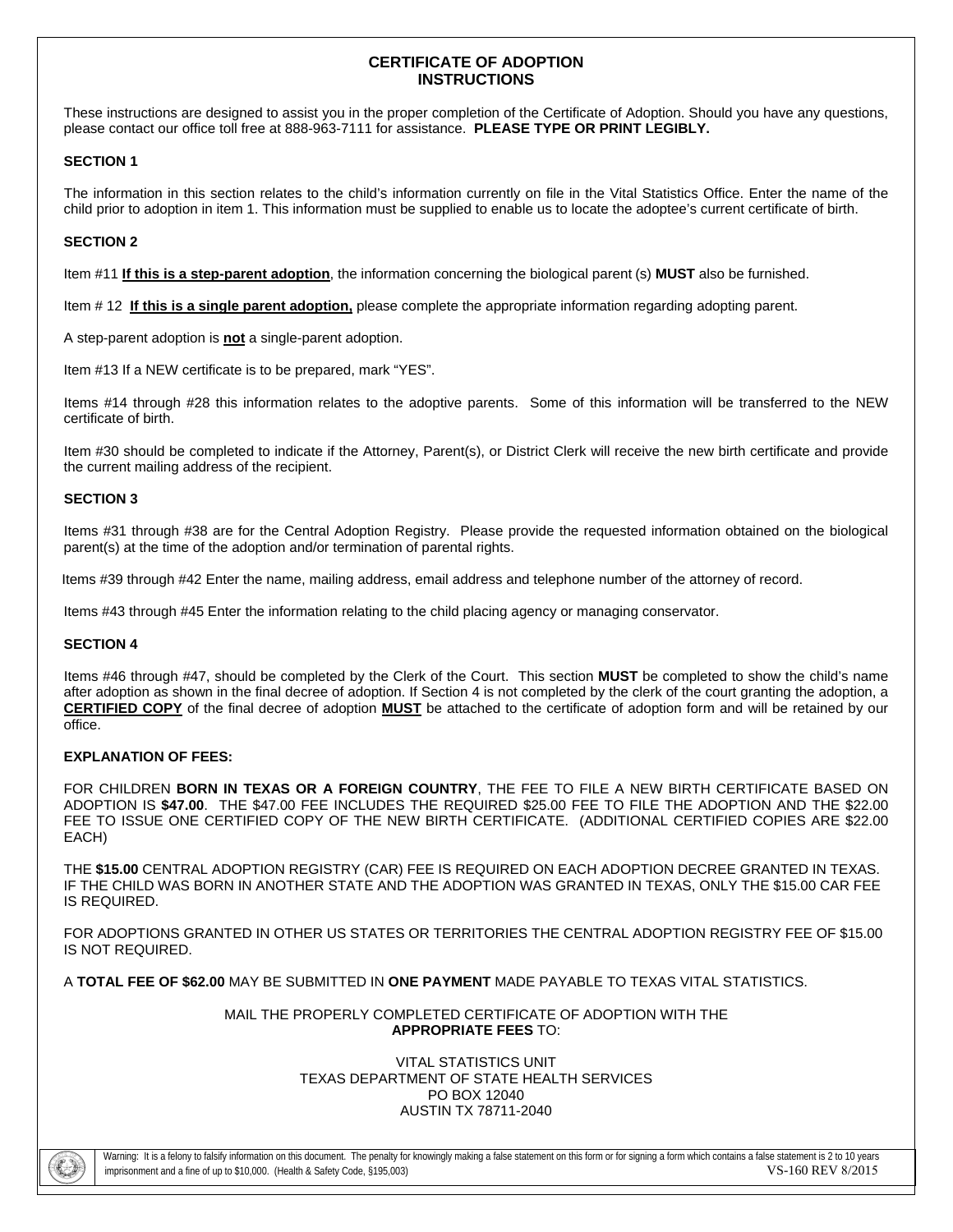# **CERTIFICATE OF ADOPTION INSTRUCTIONS**

These instructions are designed to assist you in the proper completion of the Certificate of Adoption. Should you have any questions, please contact our office toll free at 888-963-7111 for assistance. **PLEASE TYPE OR PRINT LEGIBLY.** 

## **SECTION 1**

The information in this section relates to the child's information currently on file in the Vital Statistics Office. Enter the name of the child prior to adoption in item 1. This information must be supplied to enable us to locate the adoptee's current certificate of birth.

## **SECTION 2**

Item #11 **If this is a step-parent adoption**, the information concerning the biological parent (s) **MUST** also be furnished.

Item # 12 **If this is a single parent adoption,** please complete the appropriate information regarding adopting parent.

A step-parent adoption is **not** a single-parent adoption.

Item #13 If a NEW certificate is to be prepared, mark "YES".

Items #14 through #28 this information relates to the adoptive parents. Some of this information will be transferred to the NEW certificate of birth.

Item #30 should be completed to indicate if the Attorney, Parent(s), or District Clerk will receive the new birth certificate and provide the current mailing address of the recipient.

## **SECTION 3**

Items #31 through #38 are for the Central Adoption Registry. Please provide the requested information obtained on the biological parent(s) at the time of the adoption and/or termination of parental rights.

Items #39 through #42 Enter the name, mailing address, email address and telephone number of the attorney of record.

Items #43 through #45 Enter the information relating to the child placing agency or managing conservator.

## **SECTION 4**

Items #46 through #47, should be completed by the Clerk of the Court. This section **MUST** be completed to show the child's name after adoption as shown in the final decree of adoption. If Section 4 is not completed by the clerk of the court granting the adoption, a **CERTIFIED COPY** of the final decree of adoption **MUST** be attached to the certificate of adoption form and will be retained by our office.

## **EXPLANATION OF FEES:**

FOR CHILDREN **BORN IN TEXAS OR A FOREIGN COUNTRY**, THE FEE TO FILE A NEW BIRTH CERTIFICATE BASED ON ADOPTION IS **\$47.00**. THE \$47.00 FEE INCLUDES THE REQUIRED \$25.00 FEE TO FILE THE ADOPTION AND THE \$22.00 FEE TO ISSUE ONE CERTIFIED COPY OF THE NEW BIRTH CERTIFICATE. (ADDITIONAL CERTIFIED COPIES ARE \$22.00 EACH)

THE **\$15.00** CENTRAL ADOPTION REGISTRY (CAR) FEE IS REQUIRED ON EACH ADOPTION DECREE GRANTED IN TEXAS. IF THE CHILD WAS BORN IN ANOTHER STATE AND THE ADOPTION WAS GRANTED IN TEXAS, ONLY THE \$15.00 CAR FEE IS REQUIRED.

FOR ADOPTIONS GRANTED IN OTHER US STATES OR TERRITORIES THE CENTRAL ADOPTION REGISTRY FEE OF \$15.00 IS NOT REQUIRED.

A **TOTAL FEE OF \$62.00** MAY BE SUBMITTED IN **ONE PAYMENT** MADE PAYABLE TO TEXAS VITAL STATISTICS.

## MAIL THE PROPERLY COMPLETED CERTIFICATE OF ADOPTION WITH THE **APPROPRIATE FEES** TO:

#### VITAL STATISTICS UNIT TEXAS DEPARTMENT OF STATE HEALTH SERVICES PO BOX 12040 AUSTIN TX 78711-2040

Warning: It is a felony to falsify information on this document. The penalty for knowingly making a false statement on this form or for signing a form which contains a false statement is 2 to 10 years imprisonment and a fine of up to \$10,000. (Health & Safety Code, §195,003) VS-160 REV 8/2015